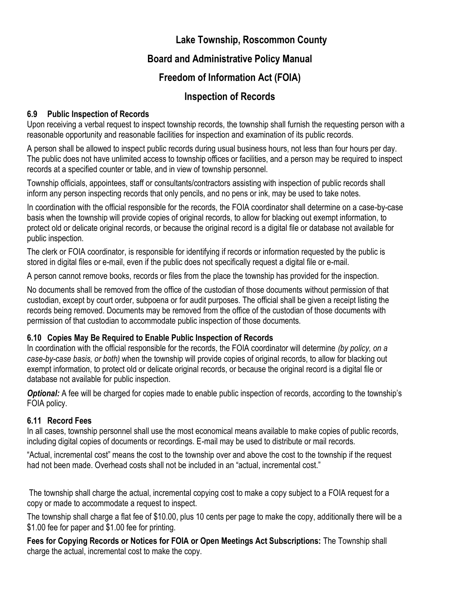# **Lake Township, Roscommon County**

# **Board and Administrative Policy Manual**

# **Freedom of Information Act (FOIA)**

# **Inspection of Records**

### **6.9 Public Inspection of Records**

Upon receiving a verbal request to inspect township records, the township shall furnish the requesting person with a reasonable opportunity and reasonable facilities for inspection and examination of its public records.

A person shall be allowed to inspect public records during usual business hours, not less than four hours per day. The public does not have unlimited access to township offices or facilities, and a person may be required to inspect records at a specified counter or table, and in view of township personnel.

Township officials, appointees, staff or consultants/contractors assisting with inspection of public records shall inform any person inspecting records that only pencils, and no pens or ink, may be used to take notes.

In coordination with the official responsible for the records, the FOIA coordinator shall determine on a case-by-case basis when the township will provide copies of original records, to allow for blacking out exempt information, to protect old or delicate original records, or because the original record is a digital file or database not available for public inspection.

The clerk or FOIA coordinator, is responsible for identifying if records or information requested by the public is stored in digital files or e-mail, even if the public does not specifically request a digital file or e-mail.

A person cannot remove books, records or files from the place the township has provided for the inspection.

No documents shall be removed from the office of the custodian of those documents without permission of that custodian, except by court order, subpoena or for audit purposes. The official shall be given a receipt listing the records being removed. Documents may be removed from the office of the custodian of those documents with permission of that custodian to accommodate public inspection of those documents.

### **6.10 Copies May Be Required to Enable Public Inspection of Records**

In coordination with the official responsible for the records, the FOIA coordinator will determine *(by policy, on a case-by-case basis, or both)* when the township will provide copies of original records, to allow for blacking out exempt information, to protect old or delicate original records, or because the original record is a digital file or database not available for public inspection.

**Optional:** A fee will be charged for copies made to enable public inspection of records, according to the township's FOIA policy.

### **6.11 Record Fees**

In all cases, township personnel shall use the most economical means available to make copies of public records, including digital copies of documents or recordings. E-mail may be used to distribute or mail records.

"Actual, incremental cost" means the cost to the township over and above the cost to the township if the request had not been made. Overhead costs shall not be included in an "actual, incremental cost."

The township shall charge the actual, incremental copying cost to make a copy subject to a FOIA request for a copy or made to accommodate a request to inspect.

The township shall charge a flat fee of \$10.00, plus 10 cents per page to make the copy, additionally there will be a \$1.00 fee for paper and \$1.00 fee for printing.

**Fees for Copying Records or Notices for FOIA or Open Meetings Act Subscriptions:** The Township shall charge the actual, incremental cost to make the copy.